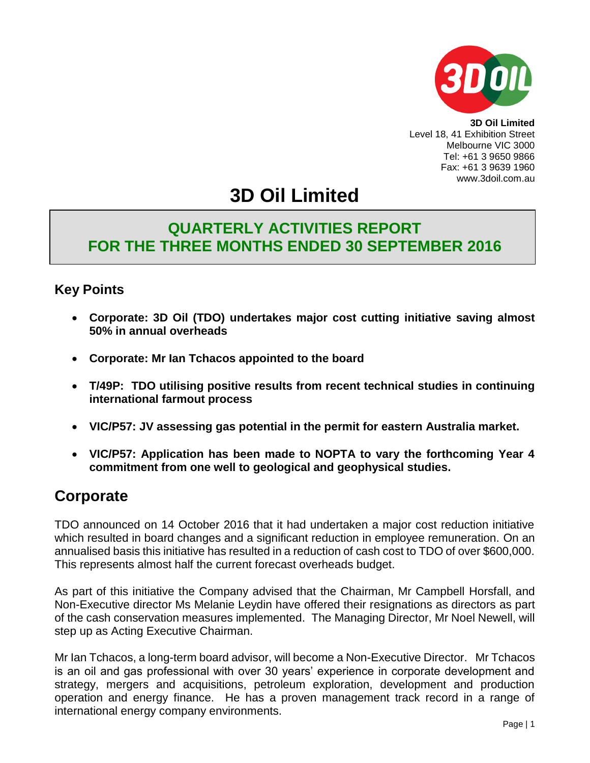

**3D Oil Limited** Level 18, 41 Exhibition Street Melbourne VIC 3000 Tel: +61 3 9650 9866 Fax: +61 3 9639 1960 www.3doil.com.au

# **3D Oil Limited**

### **QUARTERLY ACTIVITIES REPORT FOR THE THREE MONTHS ENDED 30 SEPTEMBER 2016**

### **Key Points**

- **Corporate: 3D Oil (TDO) undertakes major cost cutting initiative saving almost 50% in annual overheads**
- **Corporate: Mr Ian Tchacos appointed to the board**
- **T/49P: TDO utilising positive results from recent technical studies in continuing international farmout process**
- **VIC/P57: JV assessing gas potential in the permit for eastern Australia market.**
- **VIC/P57: Application has been made to NOPTA to vary the forthcoming Year 4 commitment from one well to geological and geophysical studies.**

### **Corporate**

TDO announced on 14 October 2016 that it had undertaken a major cost reduction initiative which resulted in board changes and a significant reduction in employee remuneration. On an annualised basis this initiative has resulted in a reduction of cash cost to TDO of over \$600,000. This represents almost half the current forecast overheads budget.

As part of this initiative the Company advised that the Chairman, Mr Campbell Horsfall, and Non-Executive director Ms Melanie Leydin have offered their resignations as directors as part of the cash conservation measures implemented. The Managing Director, Mr Noel Newell, will step up as Acting Executive Chairman.

Mr Ian Tchacos, a long-term board advisor, will become a Non-Executive Director. Mr Tchacos is an oil and gas professional with over 30 years' experience in corporate development and strategy, mergers and acquisitions, petroleum exploration, development and production operation and energy finance. He has a proven management track record in a range of international energy company environments.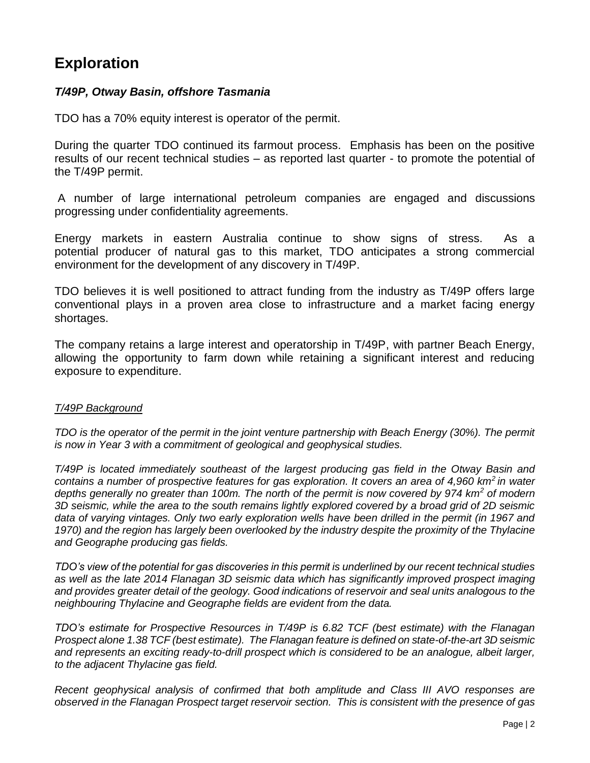### **Exploration**

#### *T/49P, Otway Basin, offshore Tasmania*

TDO has a 70% equity interest is operator of the permit.

During the quarter TDO continued its farmout process. Emphasis has been on the positive results of our recent technical studies – as reported last quarter - to promote the potential of the T/49P permit.

A number of large international petroleum companies are engaged and discussions progressing under confidentiality agreements.

Energy markets in eastern Australia continue to show signs of stress. As a potential producer of natural gas to this market, TDO anticipates a strong commercial environment for the development of any discovery in T/49P.

TDO believes it is well positioned to attract funding from the industry as T/49P offers large conventional plays in a proven area close to infrastructure and a market facing energy shortages.

The company retains a large interest and operatorship in T/49P, with partner Beach Energy, allowing the opportunity to farm down while retaining a significant interest and reducing exposure to expenditure.

#### *T/49P Background*

*TDO is the operator of the permit in the joint venture partnership with Beach Energy (30%). The permit is now in Year 3 with a commitment of geological and geophysical studies.*

*T/49P is located immediately southeast of the largest producing gas field in the Otway Basin and contains a number of prospective features for gas exploration. It covers an area of 4,960 km<sup>2</sup>in water depths generally no greater than 100m. The north of the permit is now covered by 974 km<sup>2</sup> of modern 3D seismic, while the area to the south remains lightly explored covered by a broad grid of 2D seismic*  data of varying vintages. Only two early exploration wells have been drilled in the permit (in 1967 and *1970) and the region has largely been overlooked by the industry despite the proximity of the Thylacine and Geographe producing gas fields.*

*TDO's view of the potential for gas discoveries in this permit is underlined by our recent technical studies as well as the late 2014 Flanagan 3D seismic data which has significantly improved prospect imaging and provides greater detail of the geology. Good indications of reservoir and seal units analogous to the neighbouring Thylacine and Geographe fields are evident from the data.* 

*TDO's estimate for Prospective Resources in T/49P is 6.82 TCF (best estimate) with the Flanagan Prospect alone 1.38 TCF (best estimate). The Flanagan feature is defined on state-of-the-art 3D seismic and represents an exciting ready-to-drill prospect which is considered to be an analogue, albeit larger, to the adjacent Thylacine gas field.*

*Recent geophysical analysis of confirmed that both amplitude and Class III AVO responses are observed in the Flanagan Prospect target reservoir section. This is consistent with the presence of gas*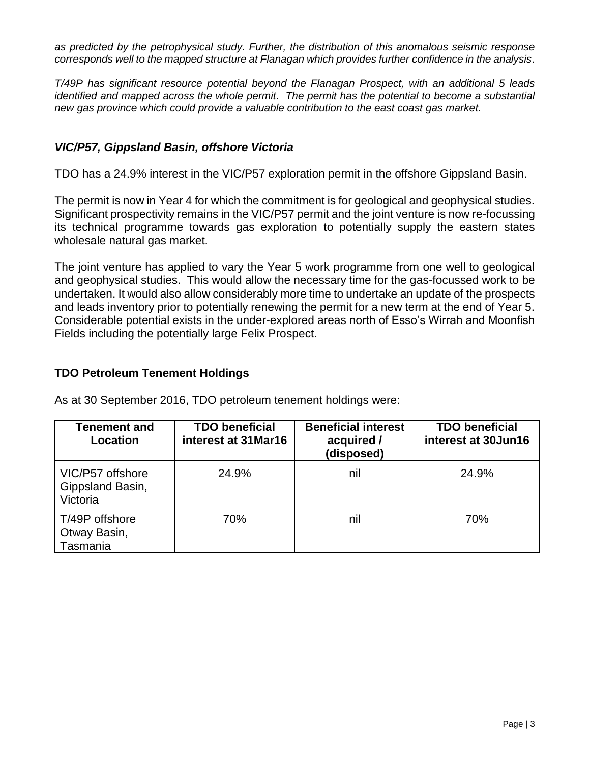*as predicted by the petrophysical study. Further, the distribution of this anomalous seismic response corresponds well to the mapped structure at Flanagan which provides further confidence in the analysis*.

*T/49P has significant resource potential beyond the Flanagan Prospect, with an additional 5 leads identified and mapped across the whole permit. The permit has the potential to become a substantial new gas province which could provide a valuable contribution to the east coast gas market.*

#### *VIC/P57, Gippsland Basin, offshore Victoria*

TDO has a 24.9% interest in the VIC/P57 exploration permit in the offshore Gippsland Basin.

The permit is now in Year 4 for which the commitment is for geological and geophysical studies. Significant prospectivity remains in the VIC/P57 permit and the joint venture is now re-focussing its technical programme towards gas exploration to potentially supply the eastern states wholesale natural gas market.

The joint venture has applied to vary the Year 5 work programme from one well to geological and geophysical studies. This would allow the necessary time for the gas-focussed work to be undertaken. It would also allow considerably more time to undertake an update of the prospects and leads inventory prior to potentially renewing the permit for a new term at the end of Year 5. Considerable potential exists in the under-explored areas north of Esso's Wirrah and Moonfish Fields including the potentially large Felix Prospect.

#### **TDO Petroleum Tenement Holdings**

As at 30 September 2016, TDO petroleum tenement holdings were:

| Tenement and<br>Location                         | <b>TDO beneficial</b><br>interest at 31 Mar16 | <b>Beneficial interest</b><br>acquired /<br>(disposed) | <b>TDO beneficial</b><br>interest at 30Jun16 |
|--------------------------------------------------|-----------------------------------------------|--------------------------------------------------------|----------------------------------------------|
| VIC/P57 offshore<br>Gippsland Basin,<br>Victoria | 24.9%                                         | nil                                                    | 24.9%                                        |
| T/49P offshore<br>Otway Basin,<br>Tasmania       | 70%                                           | nil                                                    | 70%                                          |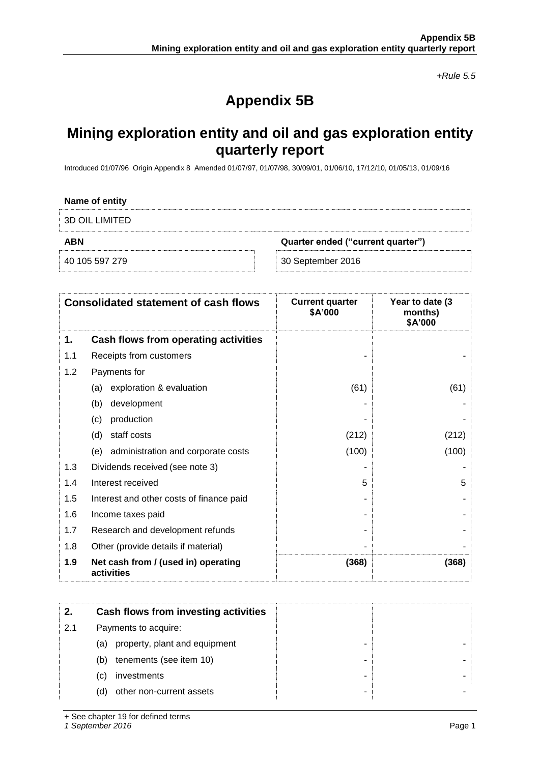*+Rule 5.5*

## **Appendix 5B**

### **Mining exploration entity and oil and gas exploration entity quarterly report**

Introduced 01/07/96 Origin Appendix 8 Amended 01/07/97, 01/07/98, 30/09/01, 01/06/10, 17/12/10, 01/05/13, 01/09/16

| Name of entity |                                   |
|----------------|-----------------------------------|
| 3D OIL LIMITED |                                   |
| ABN            | Quarter ended ("current quarter") |
| 40 105 597 279 | 30 September 2016                 |

| <b>Consolidated statement of cash flows</b> |                                                   | <b>Current quarter</b><br>\$A'000 | Year to date (3)<br>months)<br>\$A'000 |
|---------------------------------------------|---------------------------------------------------|-----------------------------------|----------------------------------------|
| 1.                                          | Cash flows from operating activities              |                                   |                                        |
| 1.1                                         | Receipts from customers                           |                                   |                                        |
| 1.2                                         | Payments for                                      |                                   |                                        |
|                                             | exploration & evaluation<br>(a)                   | (61)                              | (61)                                   |
|                                             | development<br>(b)                                |                                   |                                        |
|                                             | production<br>(c)                                 |                                   |                                        |
|                                             | staff costs<br>(d)                                | (212)                             | (212)                                  |
|                                             | administration and corporate costs<br>(e)         | (100)                             | (100)                                  |
| 1.3                                         | Dividends received (see note 3)                   |                                   |                                        |
| 1.4                                         | Interest received                                 | 5                                 | 5                                      |
| 1.5                                         | Interest and other costs of finance paid          |                                   |                                        |
| 1.6                                         | Income taxes paid                                 |                                   |                                        |
| 1.7                                         | Research and development refunds                  |                                   |                                        |
| 1.8                                         | Other (provide details if material)               |                                   |                                        |
| 1.9                                         | Net cash from / (used in) operating<br>activities | (368)                             | (368)                                  |

|     | Cash flows from investing activities |  |
|-----|--------------------------------------|--|
| 2.1 | Payments to acquire:                 |  |
|     | property, plant and equipment<br>(a) |  |
|     | tenements (see item 10)<br>(b)       |  |
|     | investments<br>(C)                   |  |
|     | other non-current assets<br>(d)      |  |

+ See chapter 19 for defined terms

*1 September 2016* Page 1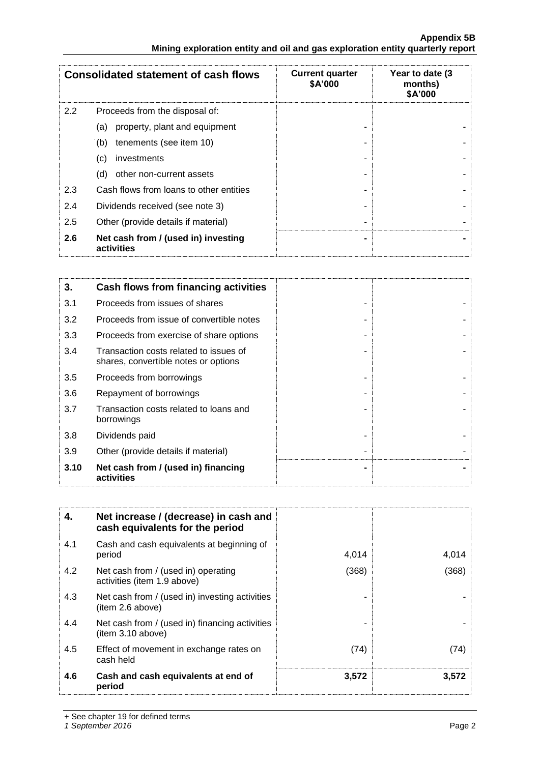| <b>Consolidated statement of cash flows</b> |                                                   | <b>Current quarter</b><br>\$A'000 | Year to date (3<br>months)<br>\$A'000 |
|---------------------------------------------|---------------------------------------------------|-----------------------------------|---------------------------------------|
| 2.2                                         | Proceeds from the disposal of:                    |                                   |                                       |
|                                             | property, plant and equipment<br>(a)              |                                   |                                       |
|                                             | tenements (see item 10)<br>(b)                    |                                   |                                       |
|                                             | investments<br>(c)                                |                                   |                                       |
|                                             | other non-current assets<br>(d)                   |                                   |                                       |
| 2.3                                         | Cash flows from loans to other entities           |                                   |                                       |
| 2.4                                         | Dividends received (see note 3)                   |                                   |                                       |
| 2.5                                         | Other (provide details if material)               |                                   |                                       |
| 2.6                                         | Net cash from / (used in) investing<br>activities |                                   |                                       |

| 3.   | Cash flows from financing activities                                           |  |
|------|--------------------------------------------------------------------------------|--|
| 3.1  | Proceeds from issues of shares                                                 |  |
| 3.2  | Proceeds from issue of convertible notes                                       |  |
| 3.3  | Proceeds from exercise of share options                                        |  |
| 3.4  | Transaction costs related to issues of<br>shares, convertible notes or options |  |
| 3.5  | Proceeds from borrowings                                                       |  |
| 3.6  | Repayment of borrowings                                                        |  |
| 3.7  | Transaction costs related to loans and<br>borrowings                           |  |
| 3.8  | Dividends paid                                                                 |  |
| 3.9  | Other (provide details if material)                                            |  |
| 3.10 | Net cash from / (used in) financing<br>activities                              |  |

| 4.  | Net increase / (decrease) in cash and<br>cash equivalents for the period |       |       |
|-----|--------------------------------------------------------------------------|-------|-------|
| 4.1 | Cash and cash equivalents at beginning of<br>period                      | 4,014 | 4,014 |
| 4.2 | Net cash from / (used in) operating<br>activities (item 1.9 above)       | (368) | (368) |
| 4.3 | Net cash from / (used in) investing activities<br>(item 2.6 above)       |       |       |
| 4.4 | Net cash from / (used in) financing activities<br>(item 3.10 above)      |       |       |
| 4.5 | Effect of movement in exchange rates on<br>cash held                     | (74)  | (74)  |
| 4.6 | Cash and cash equivalents at end of<br>period                            | 3,572 | 3,572 |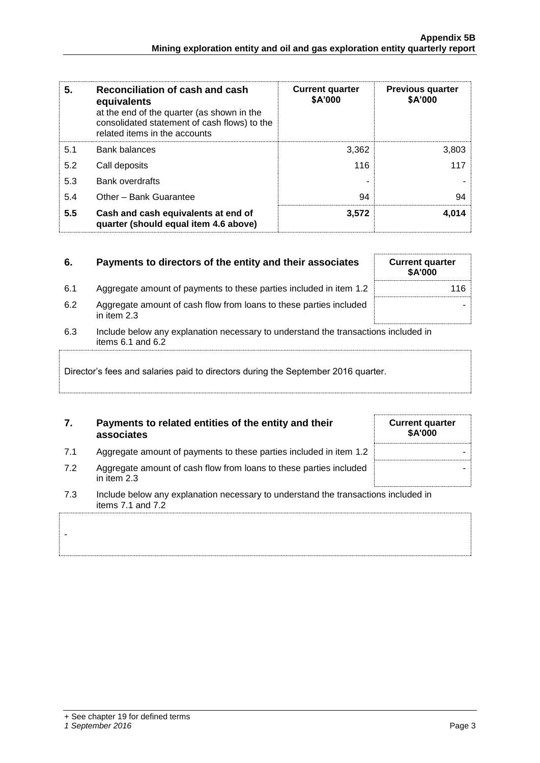| 5.  | Reconciliation of cash and cash<br>equivalents<br>at the end of the quarter (as shown in the<br>consolidated statement of cash flows) to the<br>related items in the accounts | <b>Current quarter</b><br>\$A'000 | <b>Previous quarter</b><br>\$A'000 |
|-----|-------------------------------------------------------------------------------------------------------------------------------------------------------------------------------|-----------------------------------|------------------------------------|
| 5.1 | <b>Bank balances</b>                                                                                                                                                          | 3,362                             | 3,803                              |
| 5.2 | Call deposits                                                                                                                                                                 | 116                               | 117                                |
| 5.3 | <b>Bank overdrafts</b>                                                                                                                                                        |                                   |                                    |
| 5.4 | Other - Bank Guarantee                                                                                                                                                        | 94                                | 94                                 |
| 5.5 | Cash and cash equivalents at end of<br>quarter (should equal item 4.6 above)                                                                                                  | 3,572                             | 4,014                              |

| 6.                                                                                                                 | Payments to directors of the entity and their associates                          | <b>Current quarter</b><br><b>\$A'000</b> |  |
|--------------------------------------------------------------------------------------------------------------------|-----------------------------------------------------------------------------------|------------------------------------------|--|
| 6.1                                                                                                                | Aggregate amount of payments to these parties included in item 1.2                | 116                                      |  |
| 6.2                                                                                                                | Aggregate amount of cash flow from loans to these parties included<br>in item 2.3 |                                          |  |
| 6.3<br>Include below any explanation necessary to understand the transactions included in<br>items $6.1$ and $6.2$ |                                                                                   |                                          |  |
| Director's fees and salaries paid to directors during the September 2016 quarter.                                  |                                                                                   |                                          |  |

#### **7. Payments to related entities of the entity and their associates**

- 7.1 Aggregate amount of payments to these parties included in item 1.2
- 7.2 Aggregate amount of cash flow from loans to these parties included in item 2.3
- 7.3 Include below any explanation necessary to understand the transactions included in items 7.1 and 7.2

-

| <b>Current quarter</b><br>\$A'000 |
|-----------------------------------|
|                                   |
|                                   |
|                                   |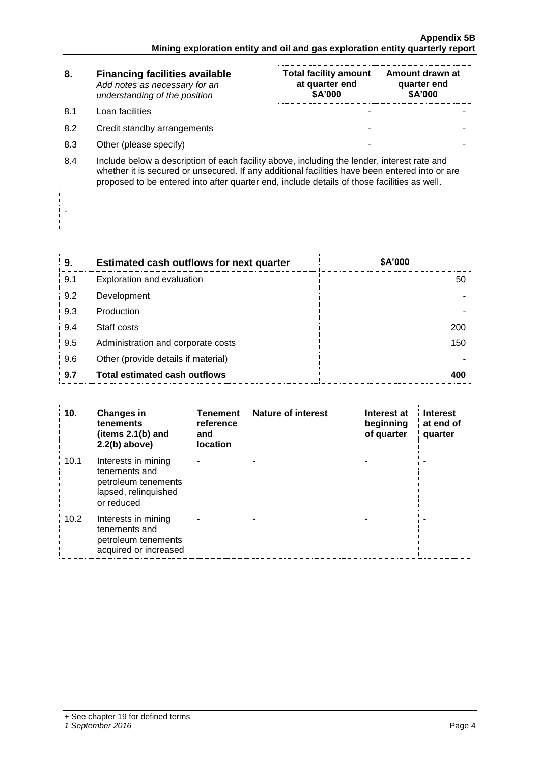| 8.             | <b>Financing facilities available</b><br>Add notes as necessary for an<br>understanding of the position | <b>Total facility amount</b><br>at quarter end<br>\$A'000 | Amount drawn at<br>quarter end<br>\$A'000 |
|----------------|---------------------------------------------------------------------------------------------------------|-----------------------------------------------------------|-------------------------------------------|
| -8.1           | Loan facilities                                                                                         |                                                           |                                           |
| 8.2            | Credit standby arrangements                                                                             | -                                                         |                                           |
| 8.3            | Other (please specify)                                                                                  |                                                           |                                           |
| O <sub>A</sub> | lnolude helew a deception of coah foolity above including the lender, interest rate and                 |                                                           |                                           |

8.4 Include below a description of each facility above, including the lender, interest rate and whether it is secured or unsecured. If any additional facilities have been entered into or are proposed to be entered into after quarter end, include details of those facilities as well.

| 9.  | <b>Estimated cash outflows for next quarter</b> | \$A'000 |
|-----|-------------------------------------------------|---------|
| 9.1 | Exploration and evaluation                      | 50      |
| 9.2 | Development                                     |         |
| 9.3 | Production                                      |         |
| 9.4 | Staff costs                                     | 200     |
| 9.5 | Administration and corporate costs              | 150     |
| 9.6 | Other (provide details if material)             |         |
| 9.7 | <b>Total estimated cash outflows</b>            |         |

| 10.  | <b>Changes in</b><br>tenements<br>(items $2.1(b)$ and<br>$2.2(b)$ above)                          | <b>Tenement</b><br>reference<br>and<br><b>location</b> | <b>Nature of interest</b> | Interest at<br>beginning<br>of quarter | <b>Interest</b><br>at end of<br>quarter |
|------|---------------------------------------------------------------------------------------------------|--------------------------------------------------------|---------------------------|----------------------------------------|-----------------------------------------|
| 10.1 | Interests in mining<br>tenements and<br>petroleum tenements<br>lapsed, relinquished<br>or reduced |                                                        |                           |                                        |                                         |
| 10.2 | Interests in mining<br>tenements and<br>petroleum tenements<br>acquired or increased              |                                                        |                           |                                        |                                         |

-